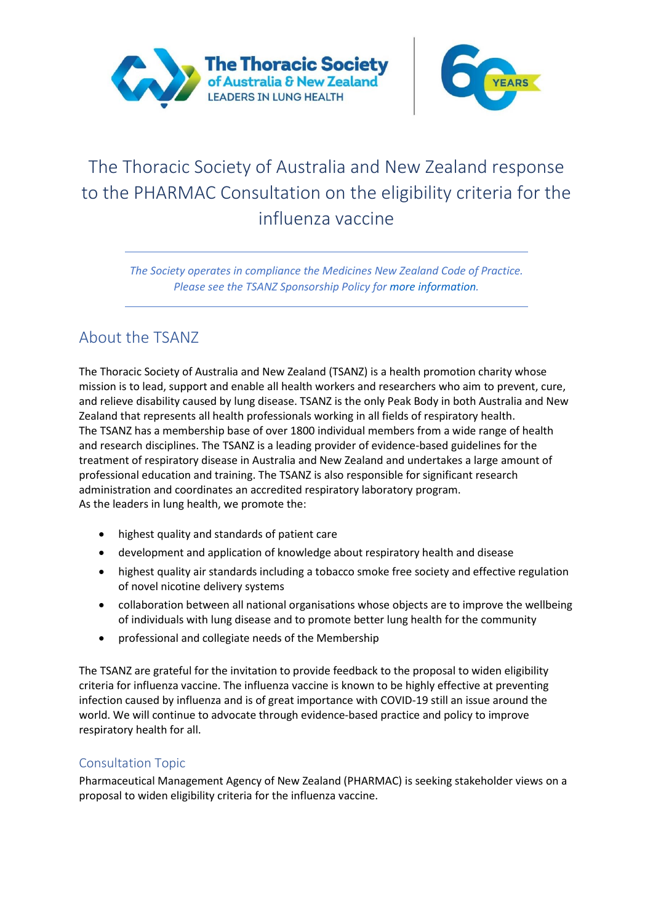



# The Thoracic Society of Australia and New Zealand response to the PHARMAC Consultation on the eligibility criteria for the influenza vaccine

*The Society operates in compliance the Medicines New Zealand Code of Practice. Please see the TSANZ Sponsorship Policy for more information.*

## About the TSANZ

The Thoracic Society of Australia and New Zealand (TSANZ) is a health promotion charity whose mission is to lead, support and enable all health workers and researchers who aim to prevent, cure, and relieve disability caused by lung disease. TSANZ is the only Peak Body in both Australia and New Zealand that represents all health professionals working in all fields of respiratory health. The TSANZ has a membership base of over 1800 individual members from a wide range of health and research disciplines. The TSANZ is a leading provider of evidence-based guidelines for the treatment of respiratory disease in Australia and New Zealand and undertakes a large amount of professional education and training. The TSANZ is also responsible for significant research administration and coordinates an accredited respiratory laboratory program. As the leaders in lung health, we promote the:

- highest quality and standards of patient care
- development and application of knowledge about respiratory health and disease
- highest quality air standards including a tobacco smoke free society and effective regulation of novel nicotine delivery systems
- collaboration between all national organisations whose objects are to improve the wellbeing of individuals with lung disease and to promote better lung health for the community
- professional and collegiate needs of the Membership

The TSANZ are grateful for the invitation to provide feedback to the proposal to widen eligibility criteria for influenza vaccine. The influenza vaccine is known to be highly effective at preventing infection caused by influenza and is of great importance with COVID-19 still an issue around the world. We will continue to advocate through evidence-based practice and policy to improve respiratory health for all.

### Consultation Topic

Pharmaceutical Management Agency of New Zealand (PHARMAC) is seeking stakeholder views on a proposal to widen eligibility criteria for the influenza vaccine.